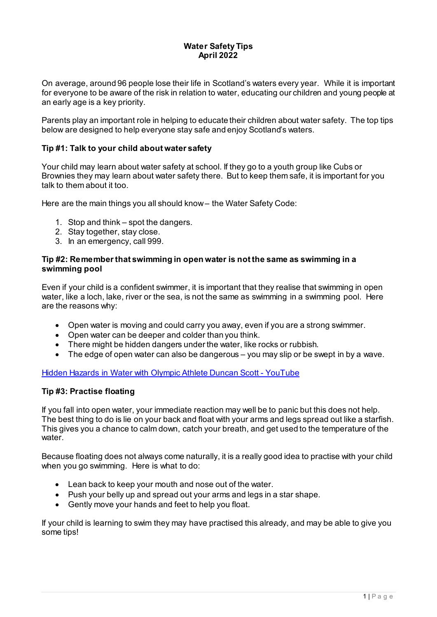## **Water Safety Tips April 2022**

On average, around 96 people lose their life in Scotland's waters every year. While it is important for everyone to be aware of the risk in relation to water, educating our children and young people at an early age is a key priority.

Parents play an important role in helping to educate their children about water safety. The top tips below are designed to help everyone stay safe and enjoy Scotland's waters.

## **Tip #1: Talk to your child about water safety**

Your child may learn about water safety at school. If they go to a youth group like Cubs or Brownies they may learn about water safety there. But to keep them safe, it is important for you talk to them about it too.

Here are the main things you all should know – the Water Safety Code:

- 1. Stop and think spot the dangers.
- 2. Stay together, stay close.
- 3. In an emergency, call 999.

### **Tip #2: Remember that swimming in open water is not the same as swimming in a swimming pool**

Even if your child is a confident swimmer, it is important that they realise that swimming in open water, like a loch, lake, river or the sea, is not the same as swimming in a swimming pool. Here are the reasons why:

- Open water is moving and could carry you away, even if you are a strong swimmer.
- Open water can be deeper and colder than you think.
- There might be hidden dangers under the water, like rocks or rubbish.
- The edge of open water can also be dangerous you may slip or be swept in by a wave.

[Hidden Hazards in Water with Olympic Athlete Duncan Scott -](https://www.youtube.com/watch?v=vib3wDks9IM) YouTube

### **Tip #3: Practise floating**

If you fall into open water, your immediate reaction may well be to panic but this does not help. The best thing to do is lie on your back and float with your arms and legs spread out like a starfish. This gives you a chance to calm down, catch your breath, and get used to the temperature of the water.

Because floating does not always come naturally, it is a really good idea to practise with your child when you go swimming. Here is what to do:

- Lean back to keep your mouth and nose out of the water.
- Push your belly up and spread out your arms and legs in a star shape.
- Gently move your hands and feet to help you float.

If your child is learning to swim they may have practised this already, and may be able to give you some tips!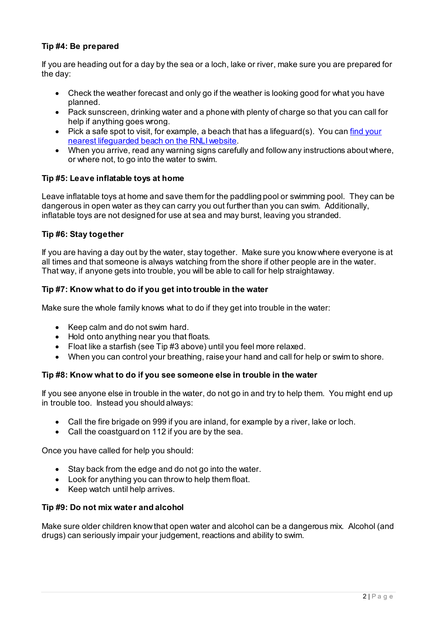# **Tip #4: Be prepared**

If you are heading out for a day by the sea or a loch, lake or river, make sure you are prepared for the day:

- Check the weather forecast and only go if the weather is looking good for what you have planned.
- Pack sunscreen, drinking water and a phone with plenty of charge so that you can call for help if anything goes wrong.
- Pick a safe spot to visit, for example, a beach that has a lifeguard(s). You can find your [nearest lifeguarded beach on the RNLI website.](https://rnli.org/find-my-nearest/lifeguarded-beaches)
- When you arrive, read any warning signs carefully and follow any instructions about where, or where not, to go into the water to swim.

## **Tip #5: Leave inflatable toys at home**

Leave inflatable toys at home and save them for the paddling pool or swimming pool. They can be dangerous in open water as they can carry you out further than you can swim. Additionally, inflatable toys are not designed for use at sea and may burst, leaving you stranded.

## **Tip #6: Stay together**

If you are having a day out by the water, stay together. Make sure you know where everyone is at all times and that someone is always watching from the shore if other people are in the water. That way, if anyone gets into trouble, you will be able to call for help straightaway.

## **Tip #7: Know what to do if you get into trouble in the water**

Make sure the whole family knows what to do if they get into trouble in the water:

- Keep calm and do not swim hard.
- Hold onto anything near you that floats.
- Float like a starfish (see Tip #3 above) until you feel more relaxed.
- When you can control your breathing, raise your hand and call for help or swim to shore.

### **Tip #8: Know what to do if you see someone else in trouble in the water**

If you see anyone else in trouble in the water, do not go in and try to help them. You might end up in trouble too. Instead you should always:

- Call the fire brigade on 999 if you are inland, for example by a river, lake or loch.
- Call the coastguard on 112 if you are by the sea.

Once you have called for help you should:

- Stay back from the edge and do not go into the water.
- Look for anything you can throw to help them float.
- Keep watch until help arrives.

### **Tip #9: Do not mix water and alcohol**

Make sure older children know that open water and alcohol can be a dangerous mix. Alcohol (and drugs) can seriously impair your judgement, reactions and ability to swim.